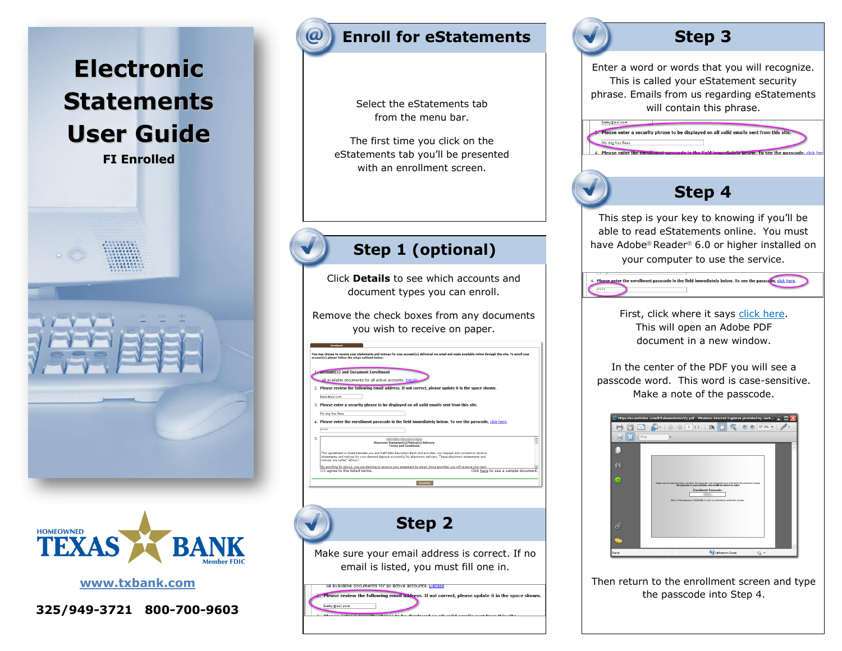



Select the eStatements tab from the menu bar.

The first time you click on the eStatements tab you'll be presented with an enrollment screen.

# **Step 1 (optional)**

Click **Details** to see which accounts and document types you can enroll.

Remove the check boxes from any documents you wish to receive on paper.

| You may choose to receive your statements and notices for your account(s) delivered via email and made available online through this site. To enroll your<br>account(s) please follow the steps outlined below:<br>Account(s) and Document Enrollment<br>All available documents for all active accounts. Details<br>2. Please review the following email address. If not correct, please update it in the space shown.<br>betty@aol.com<br>3. Please enter a security phrase to be displayed on all valid emails sent from this site.<br>My dog has fleas<br>4. Please enter the enrollment passcode in the field immediately below. To see the passcode, click here.<br><br>5.<br>Electronic Statement(s)/Notice(s) Delivery<br><b>Terms and Conditions</b><br>This agreement is made between you and NetTeller Education Bank and provides your request and consent to receive<br>statements and notices for your demand deposit account(s) by electronic delivery. These electronic statements and<br>notices are called "eDocs".<br>By enrolling for eDocs, you are electing to receive your statement by email. Once enrolled, you will receive your next<br>□ I agree to the listed terms.<br>Click here to see a sample document.<br>Enroll Now<br>Step 2<br>Make sure your email address is correct. If no<br>email is listed, you must fill one in.<br>All available gocuments for all active accounts, petalls<br>Please review the following email address. If not correct, please update it in the space shown.<br>betty@aol.com |  |
|-----------------------------------------------------------------------------------------------------------------------------------------------------------------------------------------------------------------------------------------------------------------------------------------------------------------------------------------------------------------------------------------------------------------------------------------------------------------------------------------------------------------------------------------------------------------------------------------------------------------------------------------------------------------------------------------------------------------------------------------------------------------------------------------------------------------------------------------------------------------------------------------------------------------------------------------------------------------------------------------------------------------------------------------------------------------------------------------------------------------------------------------------------------------------------------------------------------------------------------------------------------------------------------------------------------------------------------------------------------------------------------------------------------------------------------------------------------------------------------------------------------------------------------------------|--|
|                                                                                                                                                                                                                                                                                                                                                                                                                                                                                                                                                                                                                                                                                                                                                                                                                                                                                                                                                                                                                                                                                                                                                                                                                                                                                                                                                                                                                                                                                                                                               |  |
|                                                                                                                                                                                                                                                                                                                                                                                                                                                                                                                                                                                                                                                                                                                                                                                                                                                                                                                                                                                                                                                                                                                                                                                                                                                                                                                                                                                                                                                                                                                                               |  |
|                                                                                                                                                                                                                                                                                                                                                                                                                                                                                                                                                                                                                                                                                                                                                                                                                                                                                                                                                                                                                                                                                                                                                                                                                                                                                                                                                                                                                                                                                                                                               |  |
|                                                                                                                                                                                                                                                                                                                                                                                                                                                                                                                                                                                                                                                                                                                                                                                                                                                                                                                                                                                                                                                                                                                                                                                                                                                                                                                                                                                                                                                                                                                                               |  |
|                                                                                                                                                                                                                                                                                                                                                                                                                                                                                                                                                                                                                                                                                                                                                                                                                                                                                                                                                                                                                                                                                                                                                                                                                                                                                                                                                                                                                                                                                                                                               |  |
|                                                                                                                                                                                                                                                                                                                                                                                                                                                                                                                                                                                                                                                                                                                                                                                                                                                                                                                                                                                                                                                                                                                                                                                                                                                                                                                                                                                                                                                                                                                                               |  |
|                                                                                                                                                                                                                                                                                                                                                                                                                                                                                                                                                                                                                                                                                                                                                                                                                                                                                                                                                                                                                                                                                                                                                                                                                                                                                                                                                                                                                                                                                                                                               |  |
|                                                                                                                                                                                                                                                                                                                                                                                                                                                                                                                                                                                                                                                                                                                                                                                                                                                                                                                                                                                                                                                                                                                                                                                                                                                                                                                                                                                                                                                                                                                                               |  |
|                                                                                                                                                                                                                                                                                                                                                                                                                                                                                                                                                                                                                                                                                                                                                                                                                                                                                                                                                                                                                                                                                                                                                                                                                                                                                                                                                                                                                                                                                                                                               |  |
|                                                                                                                                                                                                                                                                                                                                                                                                                                                                                                                                                                                                                                                                                                                                                                                                                                                                                                                                                                                                                                                                                                                                                                                                                                                                                                                                                                                                                                                                                                                                               |  |
|                                                                                                                                                                                                                                                                                                                                                                                                                                                                                                                                                                                                                                                                                                                                                                                                                                                                                                                                                                                                                                                                                                                                                                                                                                                                                                                                                                                                                                                                                                                                               |  |
|                                                                                                                                                                                                                                                                                                                                                                                                                                                                                                                                                                                                                                                                                                                                                                                                                                                                                                                                                                                                                                                                                                                                                                                                                                                                                                                                                                                                                                                                                                                                               |  |
|                                                                                                                                                                                                                                                                                                                                                                                                                                                                                                                                                                                                                                                                                                                                                                                                                                                                                                                                                                                                                                                                                                                                                                                                                                                                                                                                                                                                                                                                                                                                               |  |
|                                                                                                                                                                                                                                                                                                                                                                                                                                                                                                                                                                                                                                                                                                                                                                                                                                                                                                                                                                                                                                                                                                                                                                                                                                                                                                                                                                                                                                                                                                                                               |  |
|                                                                                                                                                                                                                                                                                                                                                                                                                                                                                                                                                                                                                                                                                                                                                                                                                                                                                                                                                                                                                                                                                                                                                                                                                                                                                                                                                                                                                                                                                                                                               |  |
|                                                                                                                                                                                                                                                                                                                                                                                                                                                                                                                                                                                                                                                                                                                                                                                                                                                                                                                                                                                                                                                                                                                                                                                                                                                                                                                                                                                                                                                                                                                                               |  |
|                                                                                                                                                                                                                                                                                                                                                                                                                                                                                                                                                                                                                                                                                                                                                                                                                                                                                                                                                                                                                                                                                                                                                                                                                                                                                                                                                                                                                                                                                                                                               |  |
|                                                                                                                                                                                                                                                                                                                                                                                                                                                                                                                                                                                                                                                                                                                                                                                                                                                                                                                                                                                                                                                                                                                                                                                                                                                                                                                                                                                                                                                                                                                                               |  |
|                                                                                                                                                                                                                                                                                                                                                                                                                                                                                                                                                                                                                                                                                                                                                                                                                                                                                                                                                                                                                                                                                                                                                                                                                                                                                                                                                                                                                                                                                                                                               |  |
|                                                                                                                                                                                                                                                                                                                                                                                                                                                                                                                                                                                                                                                                                                                                                                                                                                                                                                                                                                                                                                                                                                                                                                                                                                                                                                                                                                                                                                                                                                                                               |  |
|                                                                                                                                                                                                                                                                                                                                                                                                                                                                                                                                                                                                                                                                                                                                                                                                                                                                                                                                                                                                                                                                                                                                                                                                                                                                                                                                                                                                                                                                                                                                               |  |



Enter a word or words that you will recognize. This is called your eStatement security phrase. Emails from us regarding eStatements will contain this phrase.

ease enter a security phrase to be displayed on all valid emails sent from this site you wish to receive on paper.

# **Step 4**

This step is your key to knowing if you'll be able to read eStatements online. You must have Adobe® Reader® 6.0 or higher installed on your computer to use the service.

. Please enter the enrollment passcode in the field immediately below. To see the passcode, click here.

First, click where it says click here. This will open an Adobe PDF document in a new window.

In the center of the PDF you will see a passcode word. This word is case-sensitive. Make a note of the passcode.

|         | $\bullet$ https://es.netteller.com/EStatements/verify.pdf - Windows Internet Explorer provided by Jack $\Box$ X                                                                                                                                                                                         |
|---------|---------------------------------------------------------------------------------------------------------------------------------------------------------------------------------------------------------------------------------------------------------------------------------------------------------|
|         | $\mathbf{1}$<br>11<br>37.3%                                                                                                                                                                                                                                                                             |
| ۱Ġ<br>ल | Find                                                                                                                                                                                                                                                                                                    |
| E       |                                                                                                                                                                                                                                                                                                         |
| ш       |                                                                                                                                                                                                                                                                                                         |
| 7       | Please note the pessoade below, and order this pessoade in the designated input area within the enrollment screen.<br>The passcode is case-sensitive, and should be entered as such:<br><b>Enrollment Passcode:</b><br>Britry of this passcode is RECURRED in order to complete the enrollment process. |
| Ø       |                                                                                                                                                                                                                                                                                                         |
|         |                                                                                                                                                                                                                                                                                                         |
| Done    | Unknown Zone<br>命·                                                                                                                                                                                                                                                                                      |

Then return to the enrollment screen and type the passcode into Step 4.